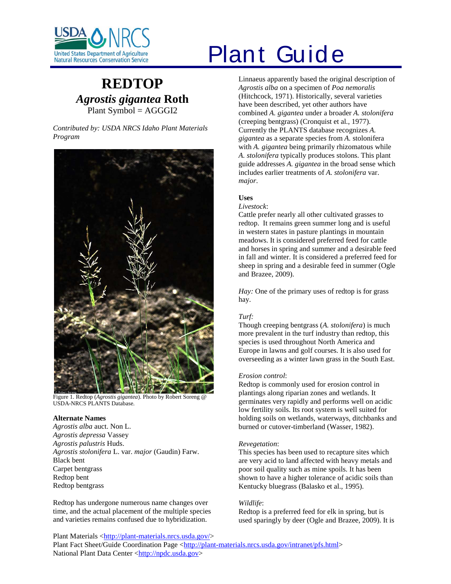

# **REDTOP** *Agrostis gigantea* **Roth** Plant Symbol = AGGGI2

*Contributed by: USDA NRCS Idaho Plant Materials Program*



Figure 1. Redtop (*Agrostis gigantea*). Photo by Robert Soreng @ USDA-NRCS PLANTS Database.

#### **Alternate Names**

*Agrostis alba* auct. Non L. *Agrostis depressa* Vassey *Agrostis palustris* Huds. *Agrostis stolonifera* L. var. *major* (Gaudin) Farw. Black bent Carpet bentgrass Redtop bent Redtop bentgrass

Redtop has undergone numerous name changes over time, and the actual placement of the multiple species and varieties remains confused due to hybridization.

# **Plant Guide**

Linnaeus apparently based the original description of *Agrostis alba* on a specimen of *Poa nemoralis* (Hitchcock, 1971). Historically, several varieties have been described, yet other authors have combined *A. gigantea* under a broader *A. stolonifera* (creeping bentgrass) (Cronquist et al., 1977). Currently the PLANTS database recognizes *A. gigantea* as a separate species from *A.* stolonifera with *A. gigantea* being primarily rhizomatous while *A. stolonifera* typically produces stolons. This plant guide addresses *A. gigantea* in the broad sense which includes earlier treatments of *A. stolonifera* var. *major*.

# **Uses**

*Livestock*:

Cattle prefer nearly all other cultivated grasses to redtop. It remains green summer long and is useful in western states in pasture plantings in mountain meadows. It is considered preferred feed for cattle and horses in spring and summer and a desirable feed in fall and winter. It is considered a preferred feed for sheep in spring and a desirable feed in summer (Ogle and Brazee, 2009).

*Hay:* One of the primary uses of redtop is for grass hay.

# *Turf:*

Though creeping bentgrass (*A. stolonifera*) is much more prevalent in the turf industry than redtop, this species is used throughout North America and Europe in lawns and golf courses. It is also used for overseeding as a winter lawn grass in the South East.

# *Erosion control*:

Redtop is commonly used for erosion control in plantings along riparian zones and wetlands. It germinates very rapidly and performs well on acidic low fertility soils. Its root system is well suited for holding soils on wetlands, waterways, ditchbanks and burned or cutover-timberland (Wasser, 1982).

# *Revegetation*:

This species has been used to recapture sites which are very acid to land affected with heavy metals and poor soil quality such as mine spoils. It has been shown to have a higher tolerance of acidic soils than Kentucky bluegrass (Balasko et al., 1995).

# *Wildlife*:

Redtop is a preferred feed for elk in spring, but is used sparingly by deer (Ogle and Brazee, 2009). It is

Plant Materials [<http://plant-materials.nrcs.usda.gov/>](http://plant-materials.nrcs.usda.gov/) Plant Fact Sheet/Guide Coordination Page [<http://plant-materials.nrcs.usda.gov/intranet/pfs.html>](http://plant-materials.nrcs.usda.gov/intranet/pfs.html) National Plant Data Center [<http://npdc.usda.gov>](http://npdc.usda.gov/)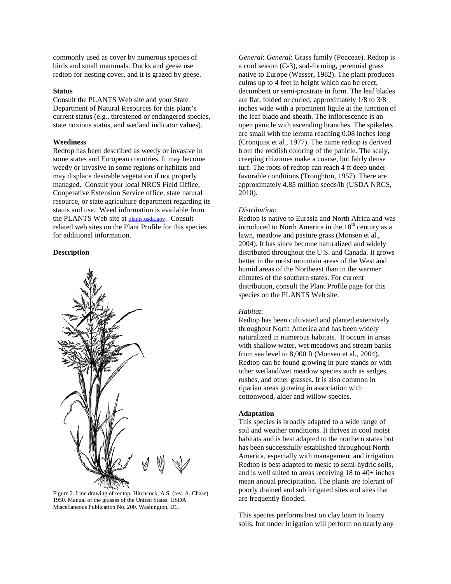commonly used as cover by numerous species of birds and small mammals. Ducks and geese use redtop for nesting cover, and it is grazed by geese.

#### **Status**

Consult the PLANTS Web site and your State Department of Natural Resources for this plant's current status (e.g., threatened or endangered species, state noxious status, and wetland indicator values).

#### **Weediness**

Redtop has been described as weedy or invasive in some states and European countries. It may become weedy or invasive in some regions or habitats and may displace desirable vegetation if not properly managed. Consult your local NRCS Field Office, Cooperative Extension Service office, state natural resource, or state agriculture department regarding its status and use. Weed information is available from the PLANTS Web site at plants.usda.gov. Consult related web sites on the Plant Profile for this species for additional information.

#### **Description**



Figure 2. Line drawing of redtop. Hitchcock, A.S. (rev. A. Chase). 1950. Manual of the grasses of the United States. USDA Miscellaneous Publication No. 200. Washington, DC.

*General*: *General*: Grass family (Poaceae). Redtop is a cool season (C-3), sod-forming, perennial grass native to Europe (Wasser, 1982). The plant produces culms up to 4 feet in height which can be erect, decumbent or semi-prostrate in form. The leaf blades are flat, folded or curled, approximately 1/8 to 3/8 inches wide with a prominent ligule at the junction of the leaf blade and sheath. The inflorescence is an open panicle with ascending branches. The spikelets are small with the lemma reaching 0.08 inches long (Cronquist et al., 1977). The name redtop is derived from the reddish coloring of the panicle. The scaly, creeping rhizomes make a coarse, but fairly dense turf. The roots of redtop can reach 4 ft deep under favorable conditions (Troughton, 1957). There are approximately 4.85 million seeds/lb (USDA NRCS, 2010).

#### *Distribution*:

Redtop is native to Eurasia and North Africa and was introduced to North America in the  $18<sup>th</sup>$  century as a lawn, meadow and pasture grass (Monsen et al., 2004). It has since become naturalized and widely distributed throughout the U.S. and Canada. It grows better in the moist mountain areas of the West and humid areas of the Northeast than in the warmer climates of the southern states. For current distribution, consult the Plant Profile page for this species on the PLANTS Web site.

#### *Habitat*:

Redtop has been cultivated and planted extensively throughout North America and has been widely naturalized in numerous habitats. It occurs in areas with shallow water, wet meadows and stream banks from sea level to 8,000 ft (Monsen et al., 2004). Redtop can be found growing in pure stands or with other wetland/wet meadow species such as sedges, rushes, and other grasses. It is also common in riparian areas growing in association with cottonwood, alder and willow species.

#### **Adaptation**

This species is broadly adapted to a wide range of soil and weather conditions. It thrives in cool moist habitats and is best adapted to the northern states but has been successfully established throughout North America, especially with management and irrigation. Redtop is best adapted to mesic to semi-hydric soils, and is well suited to areas receiving 18 to 40+ inches mean annual precipitation. The plants are tolerant of poorly drained and sub irrigated sites and sites that are frequently flooded.

This species performs best on clay loam to loamy soils, but under irrigation will perform on nearly any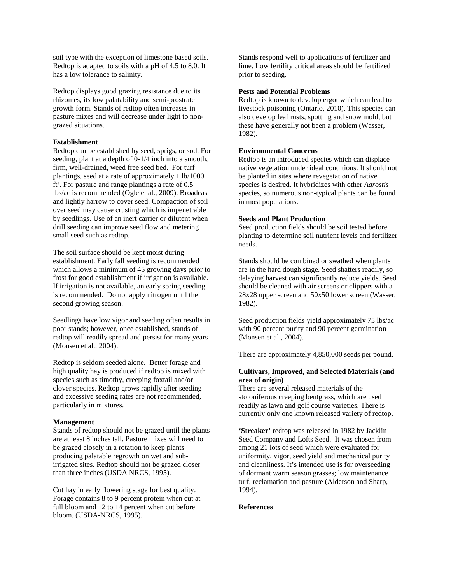soil type with the exception of limestone based soils. Redtop is adapted to soils with a pH of 4.5 to 8.0. It has a low tolerance to salinity.

Redtop displays good grazing resistance due to its rhizomes, its low palatability and semi-prostrate growth form. Stands of redtop often increases in pasture mixes and will decrease under light to nongrazed situations.

#### **Establishment**

Redtop can be established by seed, sprigs, or sod. For seeding, plant at a depth of 0-1/4 inch into a smooth, firm, well-drained, weed free seed bed. For turf plantings, seed at a rate of approximately 1 lb/1000 ft². For pasture and range plantings a rate of 0.5 lbs/ac is recommended (Ogle et al., 2009). Broadcast and lightly harrow to cover seed. Compaction of soil over seed may cause crusting which is impenetrable by seedlings. Use of an inert carrier or dilutent when drill seeding can improve seed flow and metering small seed such as redtop.

The soil surface should be kept moist during establishment. Early fall seeding is recommended which allows a minimum of 45 growing days prior to frost for good establishment if irrigation is available. If irrigation is not available, an early spring seeding is recommended. Do not apply nitrogen until the second growing season.

Seedlings have low vigor and seeding often results in poor stands; however, once established, stands of redtop will readily spread and persist for many years (Monsen et al., 2004).

Redtop is seldom seeded alone. Better forage and high quality hay is produced if redtop is mixed with species such as timothy, creeping foxtail and/or clover species. Redtop grows rapidly after seeding and excessive seeding rates are not recommended, particularly in mixtures.

# **Management**

Stands of redtop should not be grazed until the plants are at least 8 inches tall. Pasture mixes will need to be grazed closely in a rotation to keep plants producing palatable regrowth on wet and subirrigated sites. Redtop should not be grazed closer than three inches (USDA NRCS, 1995).

Cut hay in early flowering stage for best quality. Forage contains 8 to 9 percent protein when cut at full bloom and 12 to 14 percent when cut before bloom. (USDA-NRCS, 1995).

Stands respond well to applications of fertilizer and lime. Low fertility critical areas should be fertilized prior to seeding.

#### **Pests and Potential Problems**

Redtop is known to develop ergot which can lead to livestock poisoning (Ontario, 2010). This species can also develop leaf rusts, spotting and snow mold, but these have generally not been a problem (Wasser, 1982).

# **Environmental Concerns**

Redtop is an introduced species which can displace native vegetation under ideal conditions. It should not be planted in sites where revegetation of native species is desired. It hybridizes with other *Agrostis* species, so numerous non-typical plants can be found in most populations.

### **Seeds and Plant Production**

Seed production fields should be soil tested before planting to determine soil nutrient levels and fertilizer needs.

Stands should be combined or swathed when plants are in the hard dough stage. Seed shatters readily, so delaying harvest can significantly reduce yields. Seed should be cleaned with air screens or clippers with a 28x28 upper screen and 50x50 lower screen (Wasser, 1982).

Seed production fields yield approximately 75 lbs/ac with 90 percent purity and 90 percent germination (Monsen et al., 2004).

There are approximately 4,850,000 seeds per pound.

# **Cultivars, Improved, and Selected Materials (and area of origin)**

There are several released materials of the stoloniferous creeping bentgrass, which are used readily as lawn and golf course varieties. There is currently only one known released variety of redtop.

**'Streaker'** redtop was released in 1982 by Jacklin Seed Company and Lofts Seed. It was chosen from among 21 lots of seed which were evaluated for uniformity, vigor, seed yield and mechanical purity and cleanliness. It's intended use is for overseeding of dormant warm season grasses; low maintenance turf, reclamation and pasture (Alderson and Sharp, 1994).

#### **References**